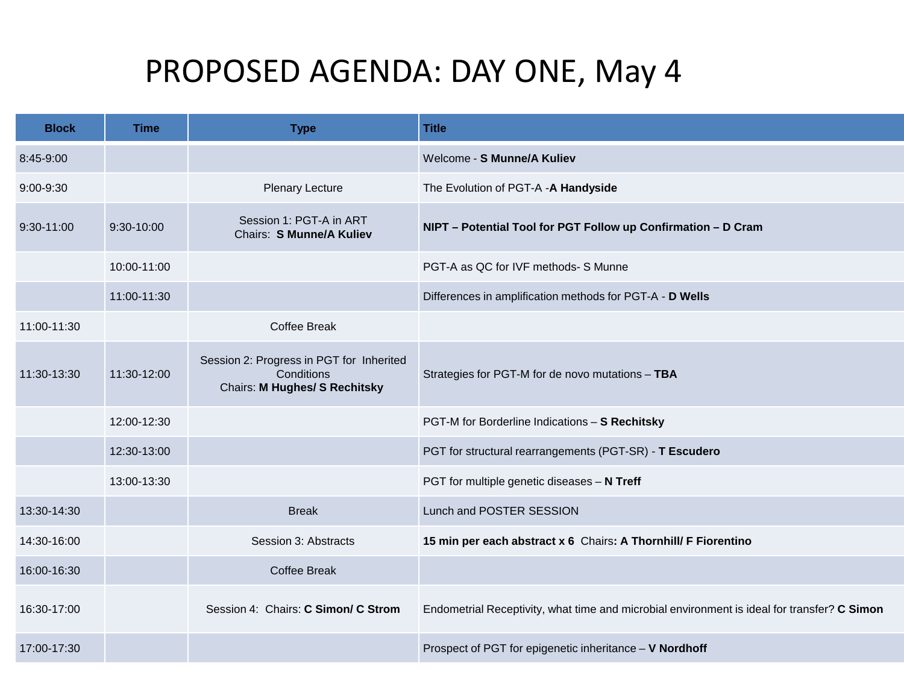## PROPOSED AGENDA: DAY ONE, May 4

| <b>Block</b>  | Time        | <b>Type</b>                                                                                    | <b>Title</b>                                                                                |
|---------------|-------------|------------------------------------------------------------------------------------------------|---------------------------------------------------------------------------------------------|
| 8:45-9:00     |             |                                                                                                | Welcome - S Munne/A Kuliev                                                                  |
| $9:00 - 9:30$ |             | <b>Plenary Lecture</b>                                                                         | The Evolution of PGT-A -A Handyside                                                         |
| 9:30-11:00    | 9:30-10:00  | Session 1: PGT-A in ART<br>Chairs: S Munne/A Kuliev                                            | NIPT - Potential Tool for PGT Follow up Confirmation - D Cram                               |
|               | 10:00-11:00 |                                                                                                | PGT-A as QC for IVF methods- S Munne                                                        |
|               | 11:00-11:30 |                                                                                                | Differences in amplification methods for PGT-A - D Wells                                    |
| 11:00-11:30   |             | <b>Coffee Break</b>                                                                            |                                                                                             |
| 11:30-13:30   | 11:30-12:00 | Session 2: Progress in PGT for Inherited<br>Conditions<br><b>Chairs: M Hughes/ S Rechitsky</b> | Strategies for PGT-M for de novo mutations - TBA                                            |
|               | 12:00-12:30 |                                                                                                | PGT-M for Borderline Indications - S Rechitsky                                              |
|               | 12:30-13:00 |                                                                                                | PGT for structural rearrangements (PGT-SR) - T Escudero                                     |
|               | 13:00-13:30 |                                                                                                | PGT for multiple genetic diseases - N Treff                                                 |
| 13:30-14:30   |             | <b>Break</b>                                                                                   | Lunch and POSTER SESSION                                                                    |
| 14:30-16:00   |             | Session 3: Abstracts                                                                           | 15 min per each abstract x 6 Chairs: A Thornhill/ F Fiorentino                              |
| 16:00-16:30   |             | Coffee Break                                                                                   |                                                                                             |
| 16:30-17:00   |             | Session 4: Chairs: C Simon/ C Strom                                                            | Endometrial Receptivity, what time and microbial environment is ideal for transfer? C Simon |
| 17:00-17:30   |             |                                                                                                | Prospect of PGT for epigenetic inheritance - V Nordhoff                                     |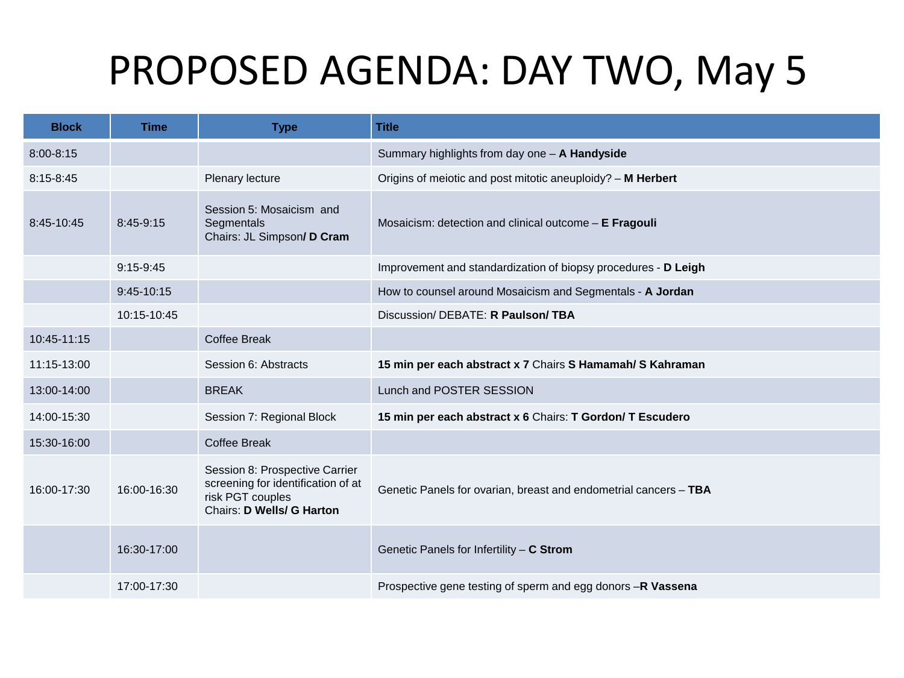## PROPOSED AGENDA: DAY TWO, May 5

| <b>Block</b>  | <b>Time</b> | <b>Type</b>                                                                                                                  | <b>Title</b>                                                     |
|---------------|-------------|------------------------------------------------------------------------------------------------------------------------------|------------------------------------------------------------------|
| $8:00 - 8:15$ |             |                                                                                                                              | Summary highlights from day one - A Handyside                    |
| 8:15-8:45     |             | Plenary lecture                                                                                                              | Origins of meiotic and post mitotic aneuploidy? - M Herbert      |
| 8:45-10:45    | 8:45-9:15   | Session 5: Mosaicism and<br>Segmentals<br>Chairs: JL Simpson/ D Cram                                                         | Mosaicism: detection and clinical outcome - E Fragouli           |
|               | $9:15-9:45$ |                                                                                                                              | Improvement and standardization of biopsy procedures - D Leigh   |
|               | 9:45-10:15  |                                                                                                                              | How to counsel around Mosaicism and Segmentals - A Jordan        |
|               | 10:15-10:45 |                                                                                                                              | Discussion/ DEBATE: R Paulson/ TBA                               |
| 10:45-11:15   |             | Coffee Break                                                                                                                 |                                                                  |
| 11:15-13:00   |             | Session 6: Abstracts                                                                                                         | 15 min per each abstract x 7 Chairs S Hamamah/ S Kahraman        |
| 13:00-14:00   |             | <b>BREAK</b>                                                                                                                 | Lunch and POSTER SESSION                                         |
| 14:00-15:30   |             | Session 7: Regional Block                                                                                                    | 15 min per each abstract x 6 Chairs: T Gordon/ T Escudero        |
| 15:30-16:00   |             | Coffee Break                                                                                                                 |                                                                  |
| 16:00-17:30   | 16:00-16:30 | Session 8: Prospective Carrier<br>screening for identification of at<br>risk PGT couples<br><b>Chairs: D Wells/ G Harton</b> | Genetic Panels for ovarian, breast and endometrial cancers - TBA |
|               | 16:30-17:00 |                                                                                                                              | Genetic Panels for Infertility $-$ C Strom                       |
|               | 17:00-17:30 |                                                                                                                              | Prospective gene testing of sperm and egg donors -R Vassena      |